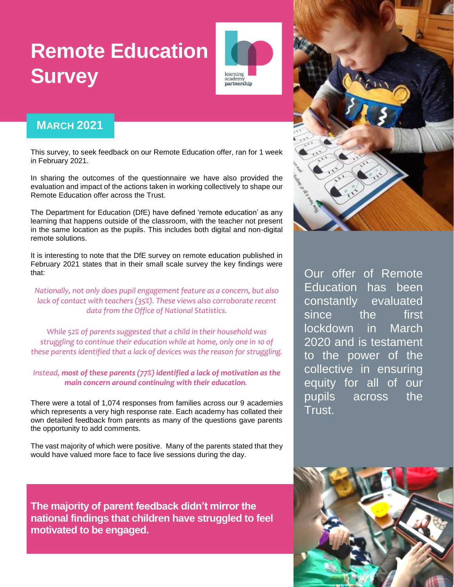# **Remote Education Survey**



### **MARCH 2021**

This survey, to seek feedback on our Remote Education offer, ran for 1 week in February 2021.

In sharing the outcomes of the questionnaire we have also provided the evaluation and impact of the actions taken in working collectively to shape our Remote Education offer across the Trust.

The Department for Education (DfE) have defined 'remote education' as any learning that happens outside of the classroom, with the teacher not present in the same location as the pupils. This includes both digital and non-digital remote solutions.

It is interesting to note that the DfE survey on remote education published in February 2021 states that in their small scale survey the key findings were that:

*Nationally, not only does pupil engagement feature as a concern, but also lack of contact with teachers (35%). These views also corroborate recent data from the Office of National Statistics.* 

*While 52% of parents suggested that a child in their household was struggling to continue their education while at home, only one in 10 of these parents identified that a lack of devices was the reason for struggling.* 

#### *Instead, most of these parents (77%) identified a lack of motivation as the main concern around continuing with their education.*

There were a total of 1,074 responses from families across our 9 academies which represents a very high response rate. Each academy has collated their own detailed feedback from parents as many of the questions gave parents the opportunity to add comments.

The vast majority of which were positive. Many of the parents stated that they would have valued more face to face live sessions during the day.

**The majority of parent feedback didn't mirror the national findings that children have struggled to feel motivated to be engaged.** 



Our offer of Remote Education has been constantly evaluated since the first lockdown in March 2020 and is testament to the power of the collective in ensuring equity for all of our pupils across the Trust.

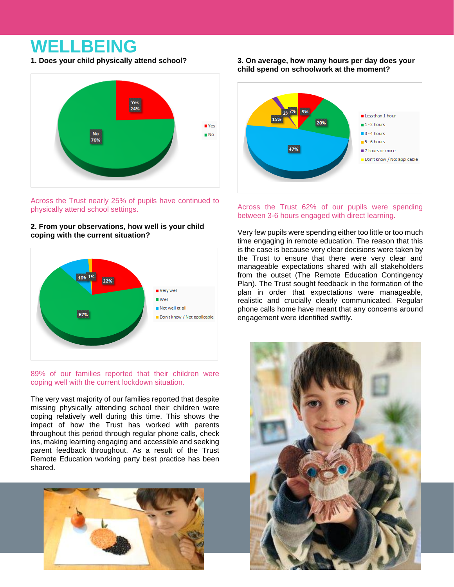### **WELLBEING**

**1. Does your child physically attend school?**



Across the Trust nearly 25% of pupils have continued to physically attend school settings.

#### **2. From your observations, how well is your child coping with the current situation?**



#### 89% of our families reported that their children were coping well with the current lockdown situation.

The very vast majority of our families reported that despite missing physically attending school their children were coping relatively well during this time. This shows the impact of how the Trust has worked with parents throughout this period through regular phone calls, check ins, making learning engaging and accessible and seeking parent feedback throughout. As a result of the Trust Remote Education working party best practice has been shared.



#### **3. On average, how many hours per day does your child spend on schoolwork at the moment?**



#### Across the Trust 62% of our pupils were spending between 3-6 hours engaged with direct learning.

Very few pupils were spending either too little or too much time engaging in remote education. The reason that this is the case is because very clear decisions were taken by the Trust to ensure that there were very clear and manageable expectations shared with all stakeholders from the outset (The Remote Education Contingency Plan). The Trust sought feedback in the formation of the plan in order that expectations were manageable, realistic and crucially clearly communicated. Regular phone calls home have meant that any concerns around engagement were identified swiftly.

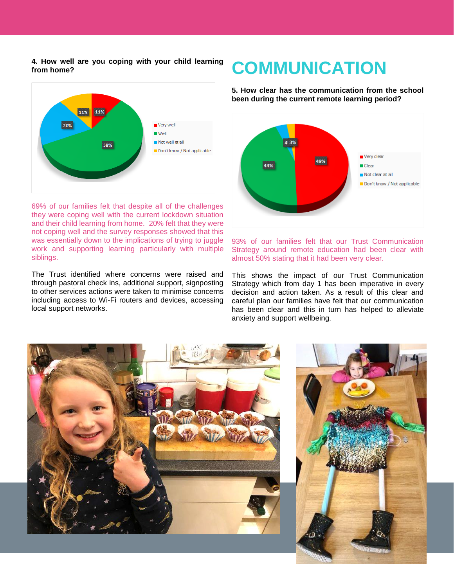#### **4. How well are you coping with your child learning from home?**



69% of our families felt that despite all of the challenges they were coping well with the current lockdown situation and their child learning from home. 20% felt that they were not coping well and the survey responses showed that this was essentially down to the implications of trying to juggle work and supporting learning particularly with multiple siblings.

The Trust identified where concerns were raised and through pastoral check ins, additional support, signposting to other services actions were taken to minimise concerns including access to Wi-Fi routers and devices, accessing local support networks.

### **COMMUNICATION**

**5. How clear has the communication from the school been during the current remote learning period?**



93% of our families felt that our Trust Communication Strategy around remote education had been clear with almost 50% stating that it had been very clear.

This shows the impact of our Trust Communication Strategy which from day 1 has been imperative in every decision and action taken. As a result of this clear and careful plan our families have felt that our communication has been clear and this in turn has helped to alleviate anxiety and support wellbeing.

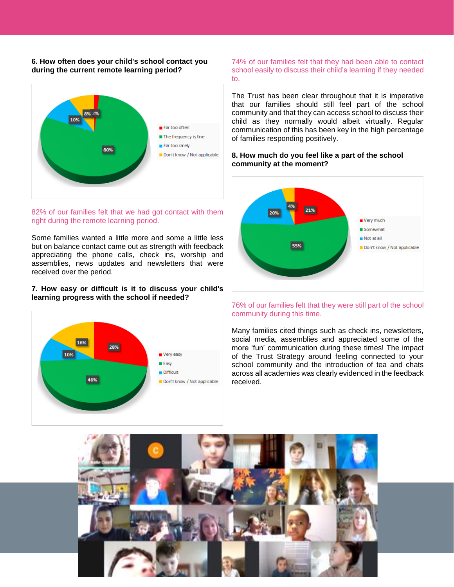#### **6. How often does your child's school contact you during the current remote learning period?**



#### 82% of our families felt that we had got contact with them right during the remote learning period.

Some families wanted a little more and some a little less but on balance contact came out as strength with feedback appreciating the phone calls, check ins, worship and assemblies, news updates and newsletters that were received over the period.

#### **7. How easy or difficult is it to discuss your child's learning progress with the school if needed?**



74% of our families felt that they had been able to contact school easily to discuss their child's learning if they needed to.

The Trust has been clear throughout that it is imperative that our families should still feel part of the school community and that they can access school to discuss their child as they normally would albeit virtually. Regular communication of this has been key in the high percentage of families responding positively.

#### **8. How much do you feel like a part of the school community at the moment?**



#### 76% of our families felt that they were still part of the school community during this time.

Many families cited things such as check ins, newsletters, social media, assemblies and appreciated some of the more 'fun' communication during these times! The impact of the Trust Strategy around feeling connected to your school community and the introduction of tea and chats across all academies was clearly evidenced in the feedback received.